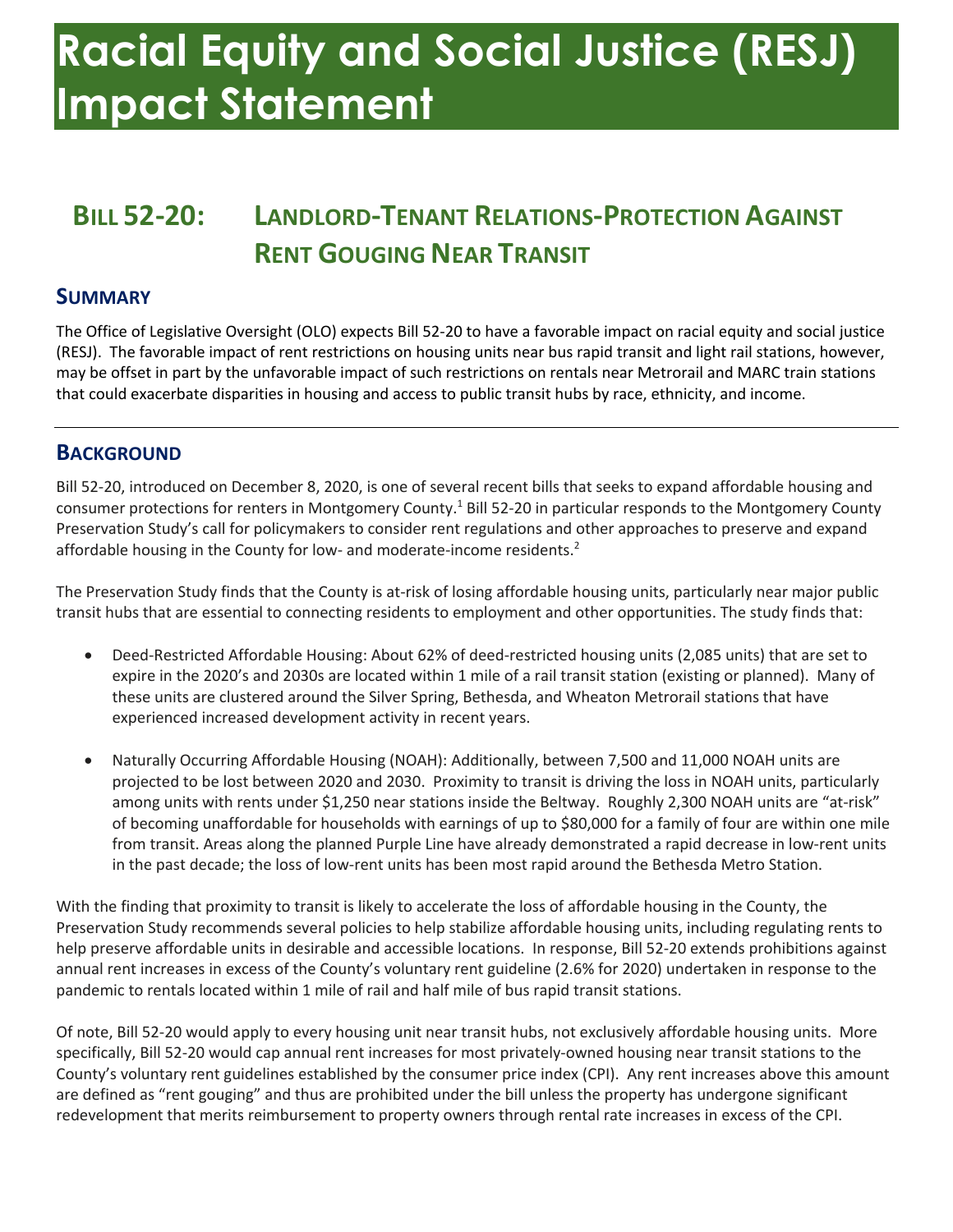# **Racial Equity and Social Justice (RESJ) Impact Statement**

### **BILL 52-20: LANDLORD-TENANT RELATIONS-PROTECTION AGAINST RENT GOUGING NEAR TRANSIT**

#### **SUMMARY**

 The Office of Legislative Oversight (OLO) expects Bill 52-20 to have a favorable impact on racial equity and social justice (RESJ). The favorable impact of rent restrictions on housing units near bus rapid transit and light rail stations, however, may be offset in part by the unfavorable impact of such restrictions on rentals near Metrorail and MARC train stations that could exacerbate disparities in housing and access to public transit hubs by race, ethnicity, and income.

#### **BACKGROUND**

consumer protections for renters in Montgomery County.<sup>1</sup> Bill 52-20 in particular responds to the Montgomery County Preservation Study's call for policymakers to consider rent regulations and other approaches to preserve and expand affordable housing in the County for low- and moderate-income residents.<sup>2</sup> Bill 52-20, introduced on December 8, 2020, is one of several recent bills that seeks to expand affordable housing and

 The Preservation Study finds that the County is at-risk of losing affordable housing units, particularly near major public transit hubs that are essential to connecting residents to employment and other opportunities. The study finds that:

- • Deed-Restricted Affordable Housing: About 62% of deed-restricted housing units (2,085 units) that are set to expire in the 2020's and 2030s are located within 1 mile of a rail transit station (existing or planned). Many of these units are clustered around the Silver Spring, Bethesda, and Wheaton Metrorail stations that have experienced increased development activity in recent years.
- • Naturally Occurring Affordable Housing (NOAH): Additionally, between 7,500 and 11,000 NOAH units are projected to be lost between 2020 and 2030. Proximity to transit is driving the loss in NOAH units, particularly among units with rents under \$1,250 near stations inside the Beltway. Roughly 2,300 NOAH units are "at-risk" of becoming unaffordable for households with earnings of up to \$80,000 for a family of four are within one mile in the past decade; the loss of low-rent units has been most rapid around the Bethesda Metro Station. from transit. Areas along the planned Purple Line have already demonstrated a rapid decrease in low-rent units

 With the finding that proximity to transit is likely to accelerate the loss of affordable housing in the County, the Preservation Study recommends several policies to help stabilize affordable housing units, including regulating rents to help preserve affordable units in desirable and accessible locations. In response, Bill 52-20 extends prohibitions against annual rent increases in excess of the County's voluntary rent guideline (2.6% for 2020) undertaken in response to the pandemic to rentals located within 1 mile of rail and half mile of bus rapid transit stations.

 Of note, Bill 52-20 would apply to every housing unit near transit hubs, not exclusively affordable housing units. More specifically, Bill 52-20 would cap annual rent increases for most privately-owned housing near transit stations to the County's voluntary rent guidelines established by the consumer price index (CPI). Any rent increases above this amount are defined as "rent gouging" and thus are prohibited under the bill unless the property has undergone significant redevelopment that merits reimbursement to property owners through rental rate increases in excess of the CPI.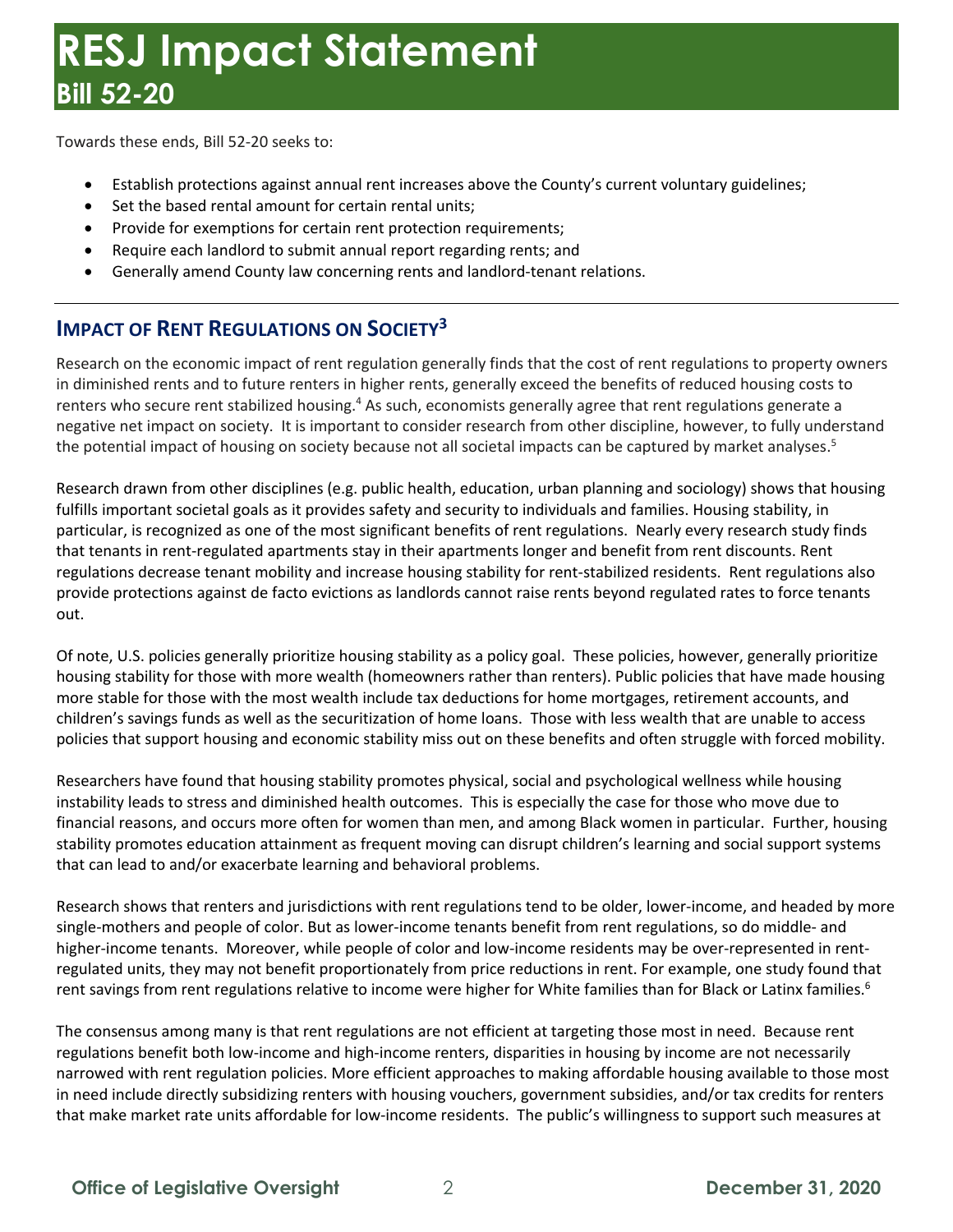Towards these ends, Bill 52-20 seeks to:

- Establish protections against annual rent increases above the County's current voluntary guidelines;
- Set the based rental amount for certain rental units;
- Provide for exemptions for certain rent protection requirements;
- Require each landlord to submit annual report regarding rents; and
- Generally amend County law concerning rents and landlord-tenant relations.

#### **IMPACT OF RENT REGULATIONS ON SOCIETY<sup>3</sup>**

 Research on the economic impact of rent regulation generally finds that the cost of rent regulations to property owners in diminished rents and to future renters in higher rents, generally exceed the benefits of reduced housing costs to renters who secure rent stabilized housing.<sup>4</sup> As such, economists generally agree that rent regulations generate a the potential impact of housing on society because not all societal impacts can be captured by market analyses.<sup>5</sup> negative net impact on society. It is important to consider research from other discipline, however, to fully understand

 Research drawn from other disciplines (e.g. public health, education, urban planning and sociology) shows that housing regulations decrease tenant mobility and increase housing stability for rent-stabilized residents. Rent regulations also out. fulfills important societal goals as it provides safety and security to individuals and families. Housing stability, in particular, is recognized as one of the most significant benefits of rent regulations. Nearly every research study finds that tenants in rent-regulated apartments stay in their apartments longer and benefit from rent discounts. Rent provide protections against de facto evictions as landlords cannot raise rents beyond regulated rates to force tenants

out.<br>Of note, U.S. policies generally prioritize housing stability as a policy goal. These policies, however, generally prioritize housing stability for those with more wealth (homeowners rather than renters). Public policies that have made housing more stable for those with the most wealth include tax deductions for home mortgages, retirement accounts, and children's savings funds as well as the securitization of home loans. Those with less wealth that are unable to access

policies that support housing and economic stability miss out on these benefits and often struggle with forced mobility.<br>Researchers have found that housing stability promotes physical, social and psychological wellness wh Researchers have found that housing stability promotes physical, social and psychological wellness while housing instability leads to stress and diminished health outcomes. This is especially the case for those who move due to stability promotes education attainment as frequent moving can disrupt children's learning and social support systems financial reasons, and occurs more often for women than men, and among Black women in particular. Further, housing that can lead to and/or exacerbate learning and behavioral problems.

 Research shows that renters and jurisdictions with rent regulations tend to be older, lower-income, and headed by more single-mothers and people of color. But as lower-income tenants benefit from rent regulations, so do middle- and higher-income tenants. Moreover, while people of color and low-income residents may be over-represented in rent- regulated units, they may not benefit proportionately from price reductions in rent. For example, one study found that rent savings from rent regulations relative to income were higher for White families than for Black or Latinx families.<sup>6</sup>

 The consensus among many is that rent regulations are not efficient at targeting those most in need. Because rent narrowed with rent regulation policies. More efficient approaches to making affordable housing available to those most that make market rate units affordable for low-income residents. The public's willingness to support such measures at regulations benefit both low-income and high-income renters, disparities in housing by income are not necessarily in need include directly subsidizing renters with housing vouchers, government subsidies, and/or tax credits for renters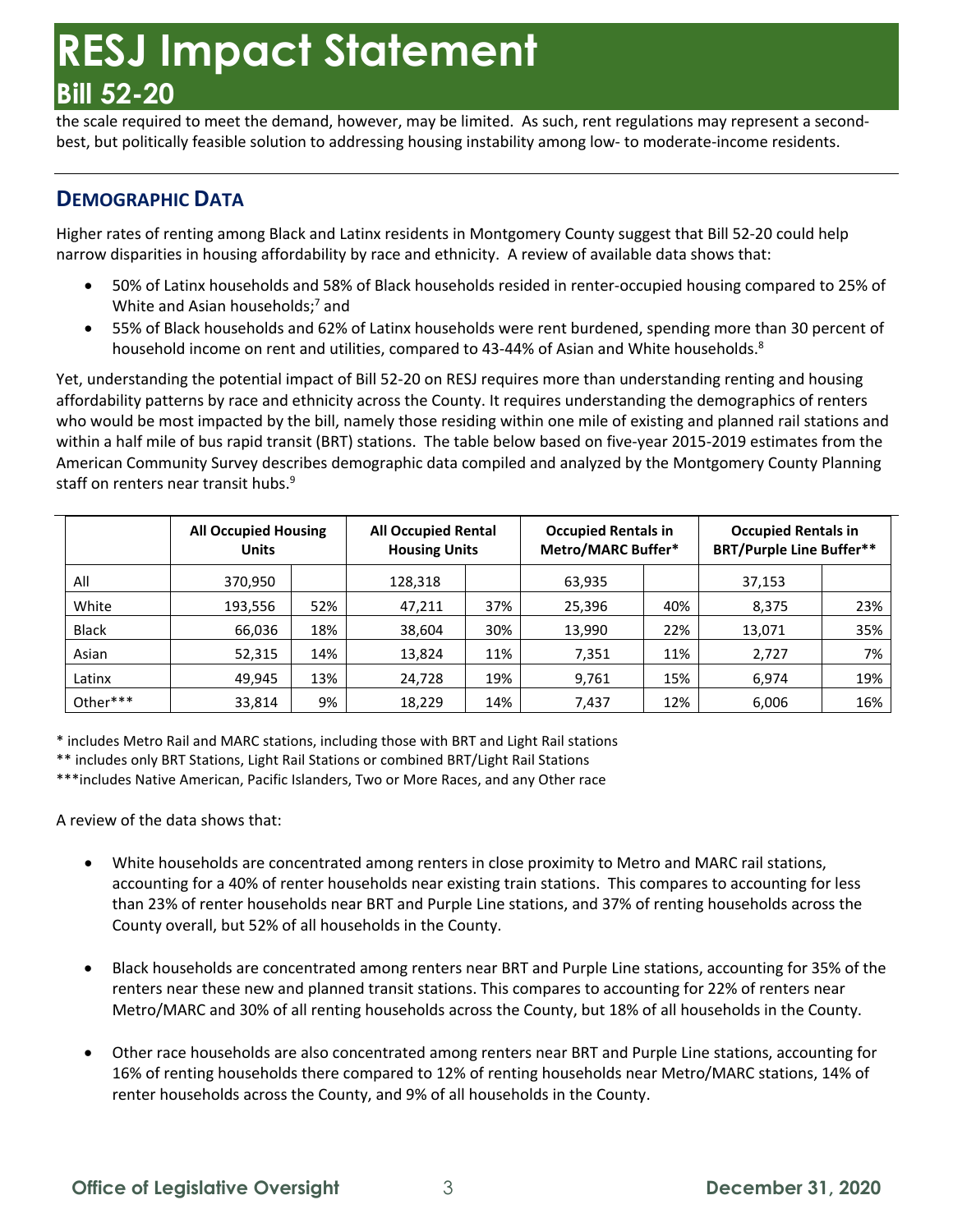the scale required to meet the demand, however, may be limited. As such, rent regulations may represent a second-best, but politically feasible solution to addressing housing instability among low- to moderate-income residents.

#### **DEMOGRAPHIC DATA**

 Higher rates of renting among Black and Latinx residents in Montgomery County suggest that Bill 52-20 could help narrow disparities in housing affordability by race and ethnicity. A review of available data shows that:

- • 50% of Latinx households and 58% of Black households resided in renter-occupied housing compared to 25% of White and Asian households;<sup>7</sup> and
- • 55% of Black households and 62% of Latinx households were rent burdened, spending more than 30 percent of household income on rent and utilities, compared to 43-44% of Asian and White households.<sup>8</sup>

 Yet, understanding the potential impact of Bill 52-20 on RESJ requires more than understanding renting and housing affordability patterns by race and ethnicity across the County. It requires understanding the demographics of renters who would be most impacted by the bill, namely those residing within one mile of existing and planned rail stations and within a half mile of bus rapid transit (BRT) stations. The table below based on five-year 2015-2019 estimates from the American Community Survey describes demographic data compiled and analyzed by the Montgomery County Planning staff on renters near transit hubs. 9

|              | <b>All Occupied Housing</b><br><b>Units</b> |     | <b>All Occupied Rental</b><br><b>Housing Units</b> |     | <b>Occupied Rentals in</b><br><b>Metro/MARC Buffer*</b> |     | <b>Occupied Rentals in</b><br><b>BRT/Purple Line Buffer**</b> |     |
|--------------|---------------------------------------------|-----|----------------------------------------------------|-----|---------------------------------------------------------|-----|---------------------------------------------------------------|-----|
| All          | 370,950                                     |     | 128,318                                            |     | 63,935                                                  |     | 37,153                                                        |     |
| White        | 193,556                                     | 52% | 47,211                                             | 37% | 25,396                                                  | 40% | 8,375                                                         | 23% |
| <b>Black</b> | 66,036                                      | 18% | 38,604                                             | 30% | 13,990                                                  | 22% | 13,071                                                        | 35% |
| Asian        | 52,315                                      | 14% | 13,824                                             | 11% | 7,351                                                   | 11% | 2,727                                                         | 7%  |
| Latinx       | 49,945                                      | 13% | 24,728                                             | 19% | 9,761                                                   | 15% | 6,974                                                         | 19% |
| Other***     | 33,814                                      | 9%  | 18,229                                             | 14% | 7.437                                                   | 12% | 6,006                                                         | 16% |

\* includes Metro Rail and MARC stations, including those with BRT and Light Rail stations

\*\* includes only BRT Stations, Light Rail Stations or combined BRT/Light Rail Stations

\*\*\*includes Native American, Pacific Islanders, Two or More Races, and any Other race

A review of the data shows that:

- • White households are concentrated among renters in close proximity to Metro and MARC rail stations, accounting for a 40% of renter households near existing train stations. This compares to accounting for less than 23% of renter households near BRT and Purple Line stations, and 37% of renting households across the County overall, but 52% of all households in the County.
- • Black households are concentrated among renters near BRT and Purple Line stations, accounting for 35% of the renters near these new and planned transit stations. This compares to accounting for 22% of renters near Metro/MARC and 30% of all renting households across the County, but 18% of all households in the County.
- • Other race households are also concentrated among renters near BRT and Purple Line stations, accounting for 16% of renting households there compared to 12% of renting households near Metro/MARC stations, 14% of renter households across the County, and 9% of all households in the County.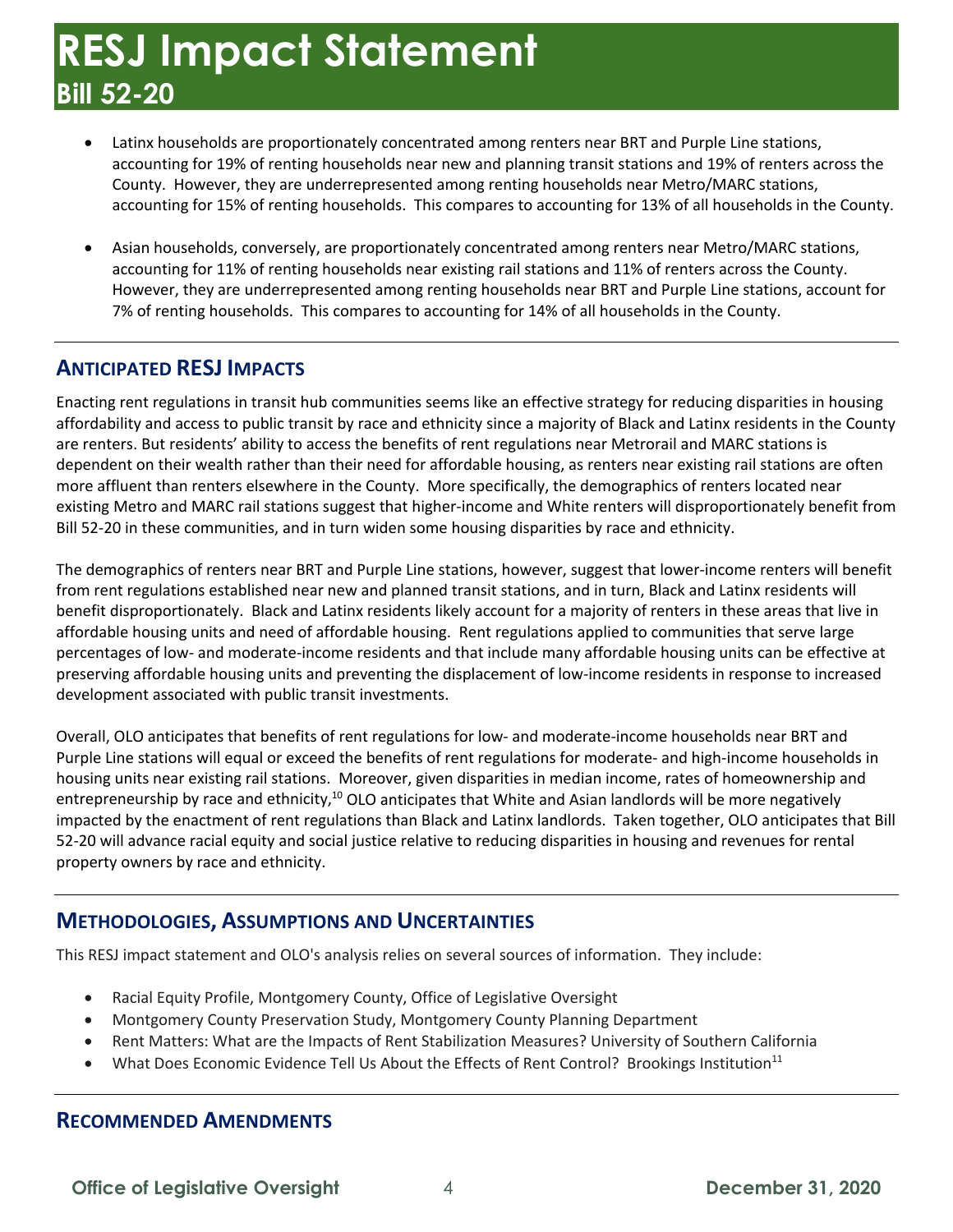- accounting for 19% of renting households near new and planning transit stations and 19% of renters across the County. However, they are underrepresented among renting households near Metro/MARC stations, accounting for 15% of renting households. This compares to accounting for 13% of all households in the County. • Latinx households are proportionately concentrated among renters near BRT and Purple Line stations,
- • Asian households, conversely, are proportionately concentrated among renters near Metro/MARC stations, accounting for 11% of renting households near existing rail stations and 11% of renters across the County. However, they are underrepresented among renting households near BRT and Purple Line stations, account for 7% of renting households. This compares to accounting for 14% of all households in the County.

#### **ANTICIPATED RESJ IMPACTS**

 Enacting rent regulations in transit hub communities seems like an effective strategy for reducing disparities in housing affordability and access to public transit by race and ethnicity since a majority of Black and Latinx residents in the County dependent on their wealth rather than their need for affordable housing, as renters near existing rail stations are often more affluent than renters elsewhere in the County. More specifically, the demographics of renters located near existing Metro and MARC rail stations suggest that higher-income and White renters will disproportionately benefit from Bill 52-20 in these communities, and in turn widen some housing disparities by race and ethnicity. are renters. But residents' ability to access the benefits of rent regulations near Metrorail and MARC stations is

 The demographics of renters near BRT and Purple Line stations, however, suggest that lower-income renters will benefit from rent regulations established near new and planned transit stations, and in turn, Black and Latinx residents will benefit disproportionately. Black and Latinx residents likely account for a majority of renters in these areas that live in affordable housing units and need of affordable housing. Rent regulations applied to communities that serve large preserving affordable housing units and preventing the displacement of low-income residents in response to increased percentages of low- and moderate-income residents and that include many affordable housing units can be effective at development associated with public transit investments.

 Overall, OLO anticipates that benefits of rent regulations for low- and moderate-income households near BRT and Purple Line stations will equal or exceed the benefits of rent regulations for moderate- and high-income households in housing units near existing rail stations. Moreover, given disparities in median income, rates of homeownership and entrepreneurship by race and ethnicity,<sup>10</sup> OLO anticipates that White and Asian landlords will be more negatively 52-20 will advance racial equity and social justice relative to reducing disparities in housing and revenues for rental impacted by the enactment of rent regulations than Black and Latinx landlords. Taken together, OLO anticipates that Bill property owners by race and ethnicity.

#### **METHODOLOGIES, ASSUMPTIONS AND UNCERTAINTIES**

This RESJ impact statement and OLO's analysis relies on several sources of information. They include:

- Racial Equity Profile, Montgomery County, Office of Legislative Oversight
- Montgomery County Preservation Study, Montgomery County Planning Department
- Rent Matters: What are the Impacts of Rent Stabilization Measures? University of Southern California
- What Does Economic Evidence Tell Us About the Effects of Rent Control? Brookings Institution<sup>11</sup>

#### **RECOMMENDED AMENDMENTS**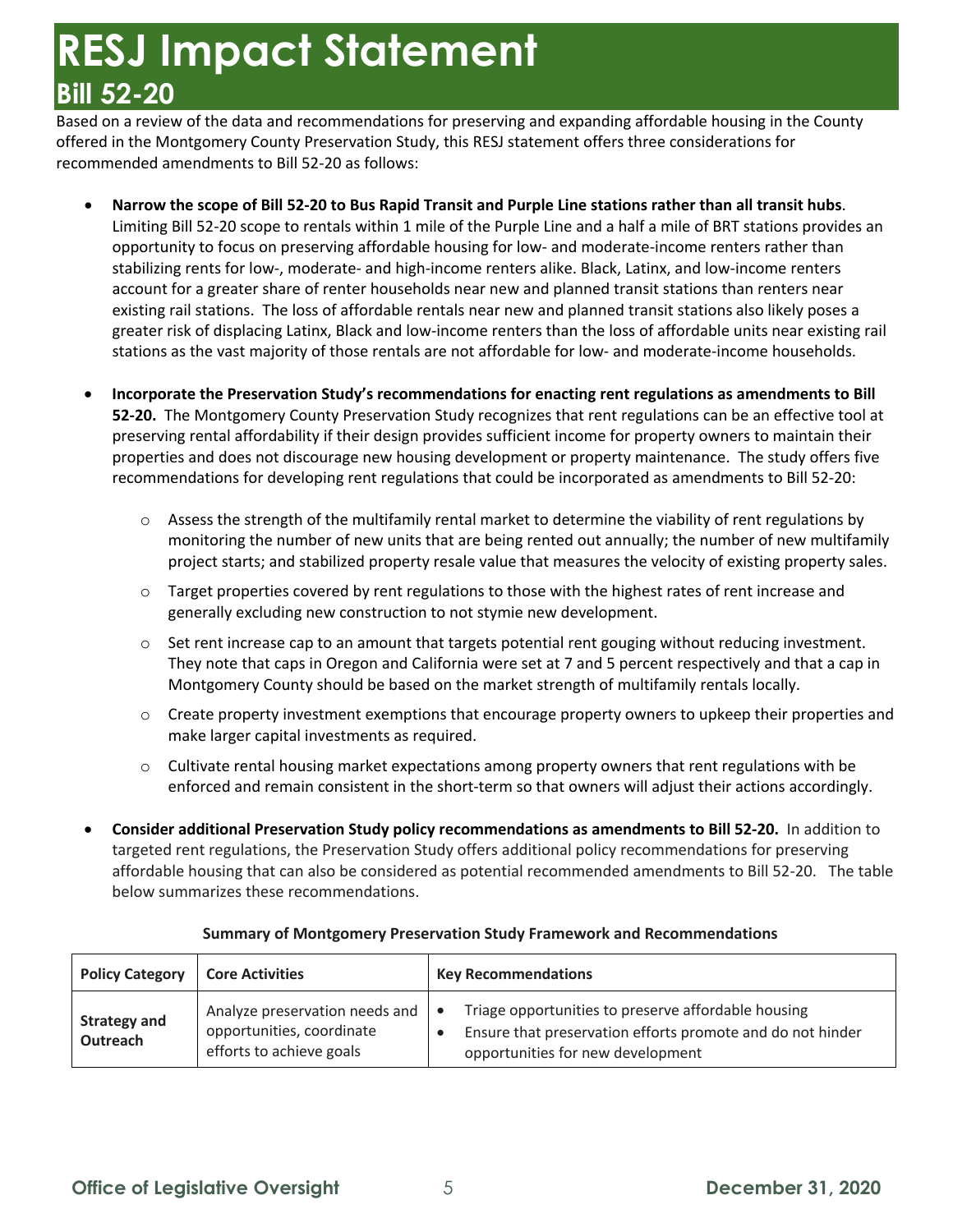Based on a review of the data and recommendations for preserving and expanding affordable housing in the County offered in the Montgomery County Preservation Study, this RESJ statement offers three considerations for recommended amendments to Bill 52-20 as follows:

- **Narrow the scope of Bill 52-20 to Bus Rapid Transit and Purple Line stations rather than all transit hubs**. Limiting Bill 52-20 scope to rentals within 1 mile of the Purple Line and a half a mile of BRT stations provides an account for a greater share of renter households near new and planned transit stations than renters near existing rail stations. The loss of affordable rentals near new and planned transit stations also likely poses a stations as the vast majority of those rentals are not affordable for low- and moderate-income households. opportunity to focus on preserving affordable housing for low- and moderate-income renters rather than stabilizing rents for low-, moderate- and high-income renters alike. Black, Latinx, and low-income renters greater risk of displacing Latinx, Black and low-income renters than the loss of affordable units near existing rail
- **Incorporate the Preservation Study's recommendations for enacting rent regulations as amendments to Bill 52-20.** The Montgomery County Preservation Study recognizes that rent regulations can be an effective tool at preserving rental affordability if their design provides sufficient income for property owners to maintain their properties and does not discourage new housing development or property maintenance. The study offers five recommendations for developing rent regulations that could be incorporated as amendments to Bill 52-20:
	- $\circ$  Assess the strength of the multifamily rental market to determine the viability of rent regulations by monitoring the number of new units that are being rented out annually; the number of new multifamily project starts; and stabilized property resale value that measures the velocity of existing property sales.
	- $\circ$  Target properties covered by rent regulations to those with the highest rates of rent increase and generally excluding new construction to not stymie new development.
	- $\circ$  Set rent increase cap to an amount that targets potential rent gouging without reducing investment. They note that caps in Oregon and California were set at 7 and 5 percent respectively and that a cap in Montgomery County should be based on the market strength of multifamily rentals locally.
	- make larger capital investments as required.  $\circ$  Create property investment exemptions that encourage property owners to upkeep their properties and
	- $\circ$  Cultivate rental housing market expectations among property owners that rent regulations with be enforced and remain consistent in the short-term so that owners will adjust their actions accordingly.
- **Consider additional Preservation Study policy recommendations as amendments to Bill 52-20.** In addition to affordable housing that can also be considered as potential recommended amendments to Bill 52-20. The table targeted rent regulations, the Preservation Study offers additional policy recommendations for preserving below summarizes these recommendations.

| <b>Policy Category</b>          | <b>Core Activities</b>                                                                  | <b>Key Recommendations</b>                                                                                                                             |  |  |  |  |
|---------------------------------|-----------------------------------------------------------------------------------------|--------------------------------------------------------------------------------------------------------------------------------------------------------|--|--|--|--|
| <b>Strategy and</b><br>Outreach | Analyze preservation needs and<br>opportunities, coordinate<br>efforts to achieve goals | Triage opportunities to preserve affordable housing<br>Ensure that preservation efforts promote and do not hinder<br>opportunities for new development |  |  |  |  |

#### **Summary of Montgomery Preservation Study Framework and Recommendations**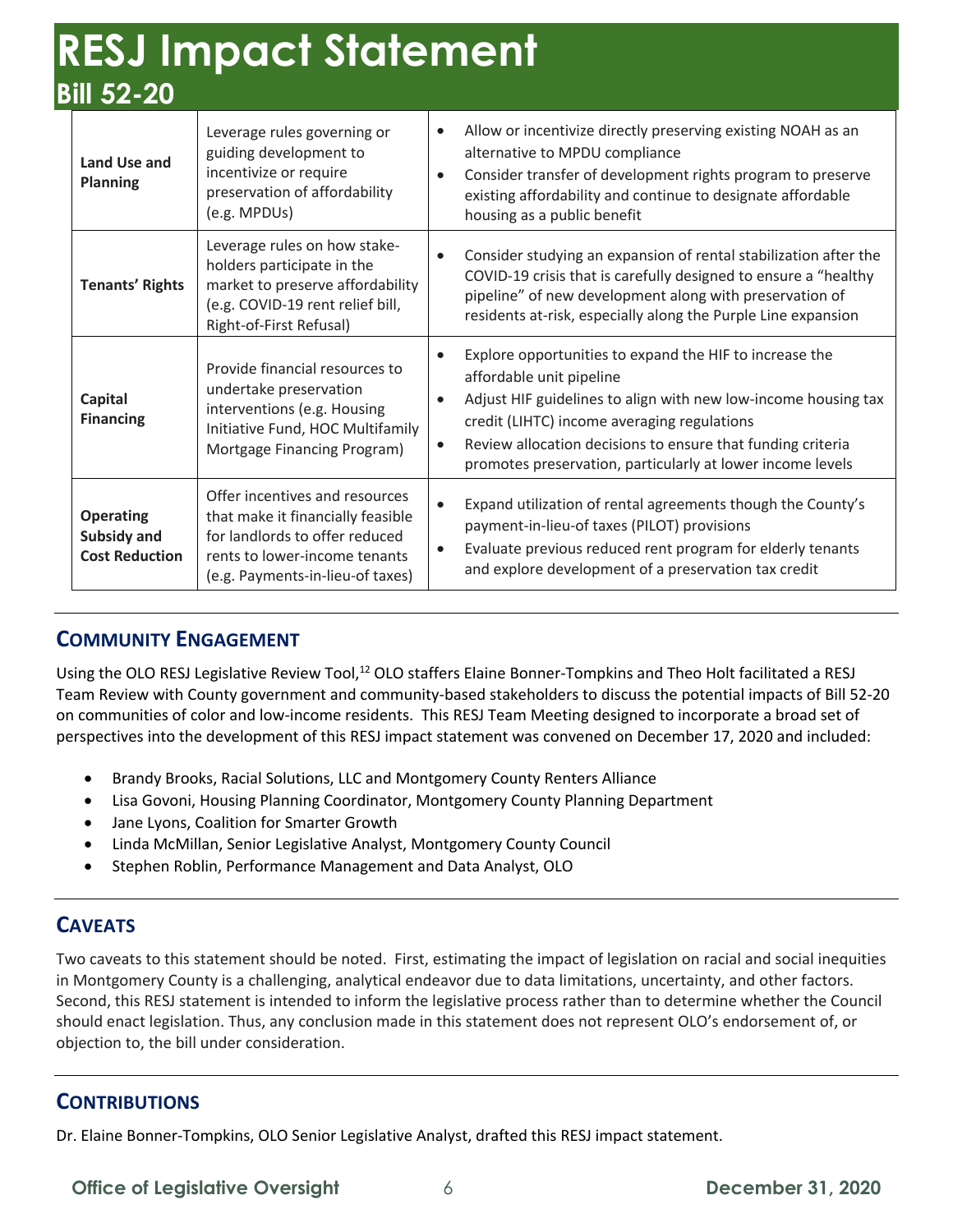| Land Use and<br><b>Planning</b>                          | Leverage rules governing or<br>guiding development to<br>incentivize or require<br>preservation of affordability<br>(e.g. MPDUs)                                           |  | Allow or incentivize directly preserving existing NOAH as an<br>alternative to MPDU compliance<br>Consider transfer of development rights program to preserve<br>existing affordability and continue to designate affordable<br>housing as a public benefit                                                                       |
|----------------------------------------------------------|----------------------------------------------------------------------------------------------------------------------------------------------------------------------------|--|-----------------------------------------------------------------------------------------------------------------------------------------------------------------------------------------------------------------------------------------------------------------------------------------------------------------------------------|
| <b>Tenants' Rights</b>                                   | Leverage rules on how stake-<br>holders participate in the<br>market to preserve affordability<br>(e.g. COVID-19 rent relief bill,<br>Right-of-First Refusal)              |  | Consider studying an expansion of rental stabilization after the<br>COVID-19 crisis that is carefully designed to ensure a "healthy<br>pipeline" of new development along with preservation of<br>residents at-risk, especially along the Purple Line expansion                                                                   |
| Capital<br><b>Financing</b>                              | Provide financial resources to<br>undertake preservation<br>interventions (e.g. Housing<br>Initiative Fund, HOC Multifamily<br>Mortgage Financing Program)                 |  | Explore opportunities to expand the HIF to increase the<br>affordable unit pipeline<br>Adjust HIF guidelines to align with new low-income housing tax<br>credit (LIHTC) income averaging regulations<br>Review allocation decisions to ensure that funding criteria<br>promotes preservation, particularly at lower income levels |
| <b>Operating</b><br>Subsidy and<br><b>Cost Reduction</b> | Offer incentives and resources<br>that make it financially feasible<br>for landlords to offer reduced<br>rents to lower-income tenants<br>(e.g. Payments-in-lieu-of taxes) |  | Expand utilization of rental agreements though the County's<br>payment-in-lieu-of taxes (PILOT) provisions<br>Evaluate previous reduced rent program for elderly tenants<br>and explore development of a preservation tax credit                                                                                                  |

#### **COMMUNITY ENGAGEMENT**

Using the OLO RESJ Legislative Review Tool,<sup>12</sup> OLO staffers Elaine Bonner-Tompkins and Theo Holt facilitated a RESJ Team Review with County government and community-based stakeholders to discuss the potential impacts of Bill 52-20 perspectives into the development of this RESJ impact statement was convened on December 17, 2020 and included: on communities of color and low-income residents. This RESJ Team Meeting designed to incorporate a broad set of

- Brandy Brooks, Racial Solutions, LLC and Montgomery County Renters Alliance
- Lisa Govoni, Housing Planning Coordinator, Montgomery County Planning Department
- Jane Lyons, Coalition for Smarter Growth
- Linda McMillan, Senior Legislative Analyst, Montgomery County Council
- Stephen Roblin, Performance Management and Data Analyst, OLO

#### **CAVEATS**

 Two caveats to this statement should be noted. First, estimating the impact of legislation on racial and social inequities in Montgomery County is a challenging, analytical endeavor due to data limitations, uncertainty, and other factors. in Montgomery County is a challenging, analytical endeavor due to data limitations, uncertainty, and other factors.<br>Second, this RESJ statement is intended to inform the legislative process rather than to determine whether should enact legislation. Thus, any conclusion made in this statement does not represent OLO's endorsement of, or objection to, the bill under consideration.

#### **CONTRIBUTIONS**

Dr. Elaine Bonner-Tompkins, OLO Senior Legislative Analyst, drafted this RESJ impact statement.